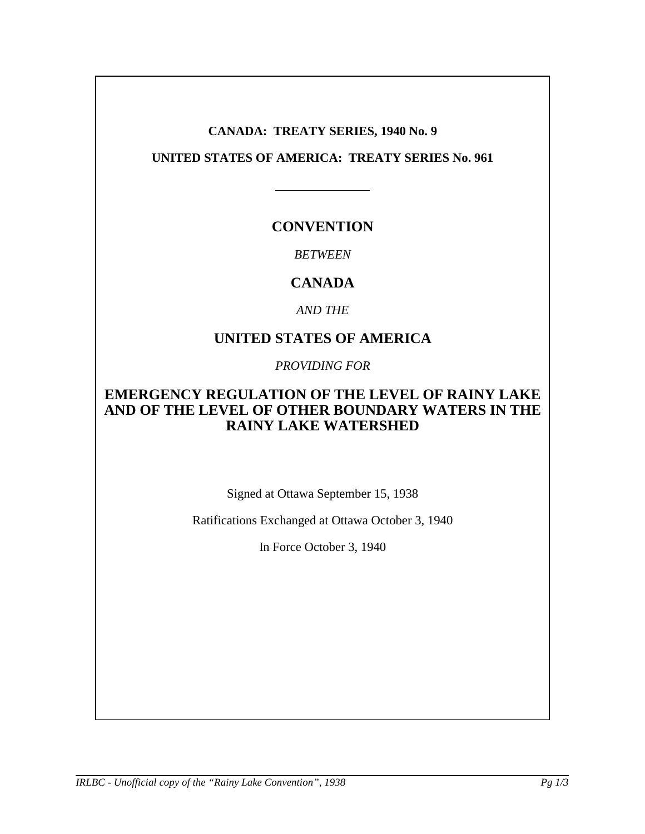### **CANADA: TREATY SERIES, 1940 No. 9**

### **UNITED STATES OF AMERICA: TREATY SERIES No. 961**

# **CONVENTION**

### *BETWEEN*

# **CANADA**

*AND THE*

# **UNITED STATES OF AMERICA**

*PROVIDING FOR*

### **EMERGENCY REGULATION OF THE LEVEL OF RAINY LAKE AND OF THE LEVEL OF OTHER BOUNDARY WATERS IN THE RAINY LAKE WATERSHED**

Signed at Ottawa September 15, 1938

Ratifications Exchanged at Ottawa October 3, 1940

In Force October 3, 1940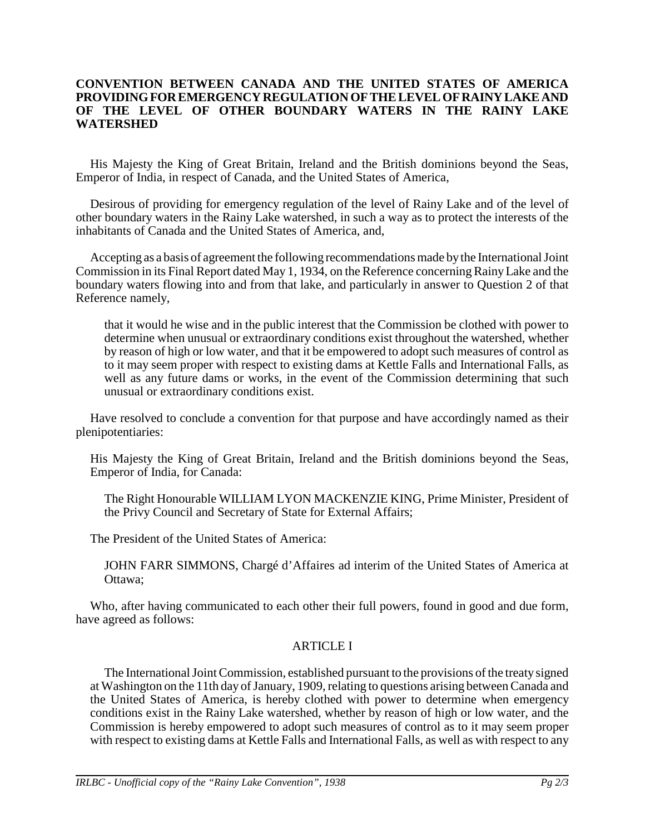#### **CONVENTION BETWEEN CANADA AND THE UNITED STATES OF AMERICA PROVIDING FOR EMERGENCY REGULATION OF THE LEVEL OF RAINY LAKE AND OF THE LEVEL OF OTHER BOUNDARY WATERS IN THE RAINY LAKE WATERSHED**

His Majesty the King of Great Britain, Ireland and the British dominions beyond the Seas, Emperor of India, in respect of Canada, and the United States of America,

Desirous of providing for emergency regulation of the level of Rainy Lake and of the level of other boundary waters in the Rainy Lake watershed, in such a way as to protect the interests of the inhabitants of Canada and the United States of America, and,

Accepting as a basis of agreement the following recommendations made by the International Joint Commission in its Final Report dated May 1, 1934, on the Reference concerning Rainy Lake and the boundary waters flowing into and from that lake, and particularly in answer to Question 2 of that Reference namely,

that it would he wise and in the public interest that the Commission be clothed with power to determine when unusual or extraordinary conditions exist throughout the watershed, whether by reason of high or low water, and that it be empowered to adopt such measures of control as to it may seem proper with respect to existing dams at Kettle Falls and International Falls, as well as any future dams or works, in the event of the Commission determining that such unusual or extraordinary conditions exist.

Have resolved to conclude a convention for that purpose and have accordingly named as their plenipotentiaries:

His Majesty the King of Great Britain, Ireland and the British dominions beyond the Seas, Emperor of India, for Canada:

The Right Honourable WILLIAM LYON MACKENZIE KING, Prime Minister, President of the Privy Council and Secretary of State for External Affairs;

The President of the United States of America:

JOHN FARR SIMMONS, Chargé d'Affaires ad interim of the United States of America at Ottawa;

Who, after having communicated to each other their full powers, found in good and due form, have agreed as follows:

### ARTICLE I

The International Joint Commission, established pursuant to the provisions of the treaty signed at Washington on the 11th day of January, 1909, relating to questions arising between Canada and the United States of America, is hereby clothed with power to determine when emergency conditions exist in the Rainy Lake watershed, whether by reason of high or low water, and the Commission is hereby empowered to adopt such measures of control as to it may seem proper with respect to existing dams at Kettle Falls and International Falls, as well as with respect to any